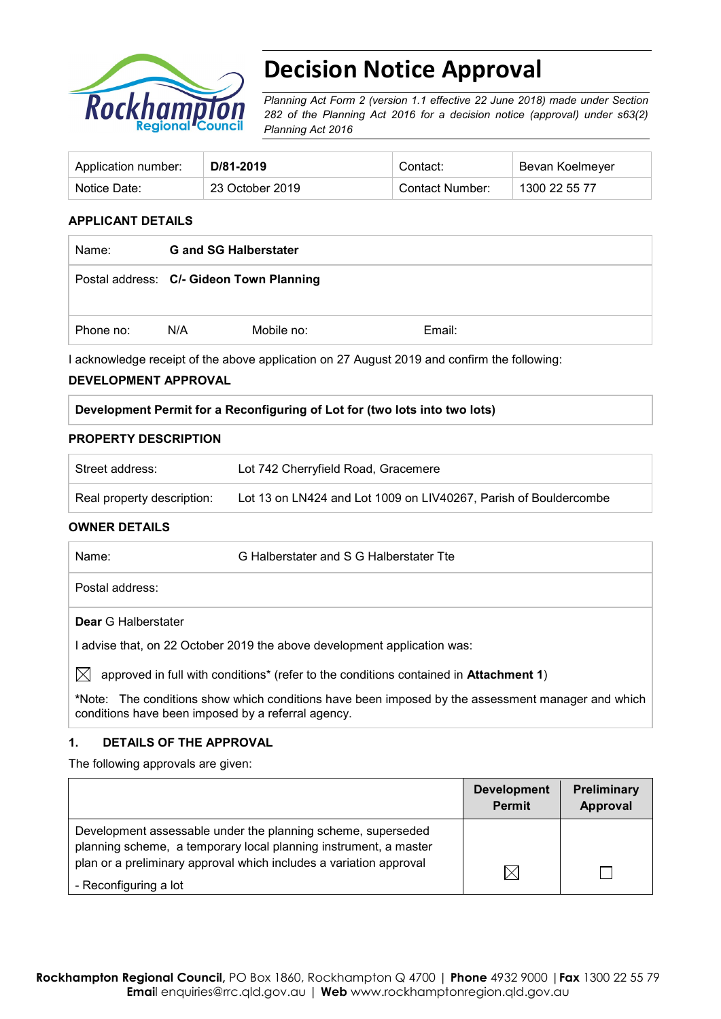

# **Decision Notice Approval**

*Planning Act Form 2 (version 1.1 effective 22 June 2018) made under Section 282 of the Planning Act 2016 for a decision notice (approval) under s63(2) Planning Act 2016*

| Application number: | D/81-2019       | Contact:        | Bevan Koelmeyer |
|---------------------|-----------------|-----------------|-----------------|
| Notice Date:        | 23 October 2019 | Contact Number: | 1300 22 55 77   |

#### **APPLICANT DETAILS**

| Name:     | <b>G</b> and SG Halberstater             |            |        |
|-----------|------------------------------------------|------------|--------|
|           | Postal address: C/- Gideon Town Planning |            |        |
| Phone no: | N/A                                      | Mobile no: | Email: |

I acknowledge receipt of the above application on 27 August 2019 and confirm the following:

#### **DEVELOPMENT APPROVAL**

#### **Development Permit for a Reconfiguring of Lot for (two lots into two lots)**

#### **PROPERTY DESCRIPTION**

| Street address:            | Lot 742 Cherryfield Road, Gracemere                              |
|----------------------------|------------------------------------------------------------------|
| Real property description: | Lot 13 on LN424 and Lot 1009 on LIV40267, Parish of Bouldercombe |

#### **OWNER DETAILS**

| Name:                                                                    | G Halberstater and S G Halberstater Tte |  |
|--------------------------------------------------------------------------|-----------------------------------------|--|
| Postal address:                                                          |                                         |  |
| <b>Dear</b> G Halberstater                                               |                                         |  |
| I advise that, on 22 October 2019 the above development application was: |                                         |  |

 $\boxtimes$  approved in full with conditions<sup>\*</sup> (refer to the conditions contained in **Attachment 1**)

**\***Note:The conditions show which conditions have been imposed by the assessment manager and which conditions have been imposed by a referral agency.

#### **1. DETAILS OF THE APPROVAL**

The following approvals are given:

|                                                                                                                                  | <b>Development</b><br><b>Permit</b> | <b>Preliminary</b><br>Approval |
|----------------------------------------------------------------------------------------------------------------------------------|-------------------------------------|--------------------------------|
| Development assessable under the planning scheme, superseded<br>planning scheme, a temporary local planning instrument, a master |                                     |                                |
| plan or a preliminary approval which includes a variation approval<br>- Reconfiguring a lot                                      | ⋉                                   |                                |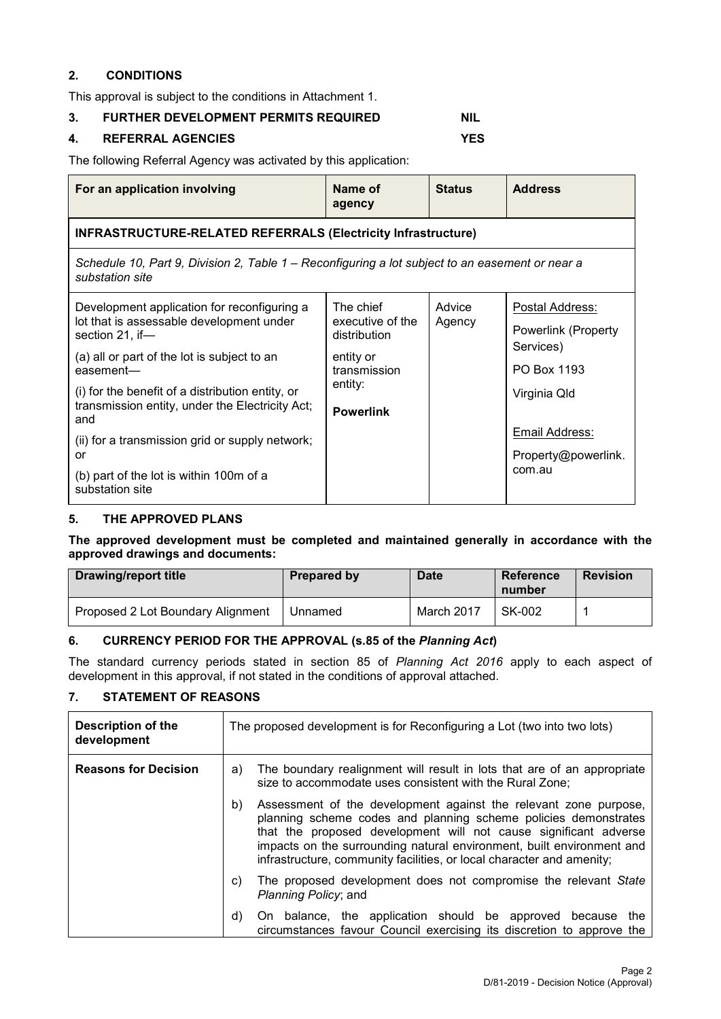## **2. CONDITIONS**

This approval is subject to the conditions in Attachment 1.

## **3. FURTHER DEVELOPMENT PERMITS REQUIRED NIL**

## **4. REFERRAL AGENCIES YES**

The following Referral Agency was activated by this application:

| For an application involving                                                                                       | Name of<br>agency                | <b>Status</b> | <b>Address</b>                |
|--------------------------------------------------------------------------------------------------------------------|----------------------------------|---------------|-------------------------------|
| <b>INFRASTRUCTURE-RELATED REFERRALS (Electricity Infrastructure)</b>                                               |                                  |               |                               |
| Schedule 10, Part 9, Division 2, Table 1 – Reconfiguring a lot subject to an easement or near a<br>substation site |                                  |               |                               |
| Development application for reconfiguring a                                                                        | The chief                        | Advice        | Postal Address:               |
| lot that is assessable development under<br>section 21, if-                                                        | executive of the<br>distribution | Agency        | Powerlink (Property           |
| (a) all or part of the lot is subject to an<br>easement-                                                           | entity or<br>transmission        |               | Services)<br>PO Box 1193      |
| (i) for the benefit of a distribution entity, or                                                                   | entity:                          |               | Virginia Qld                  |
| transmission entity, under the Electricity Act;<br>and                                                             | <b>Powerlink</b>                 |               |                               |
| (ii) for a transmission grid or supply network;                                                                    |                                  |               | Email Address:                |
| or                                                                                                                 |                                  |               | Property@powerlink.<br>com.au |
| (b) part of the lot is within 100m of a<br>substation site                                                         |                                  |               |                               |

#### **5. THE APPROVED PLANS**

**The approved development must be completed and maintained generally in accordance with the approved drawings and documents:**

| <b>Drawing/report title</b>       | <b>Prepared by</b> | <b>Date</b> | Reference<br>number | <b>Revision</b> |
|-----------------------------------|--------------------|-------------|---------------------|-----------------|
| Proposed 2 Lot Boundary Alignment | Unnamed            | March 2017  | SK-002              |                 |

## **6. CURRENCY PERIOD FOR THE APPROVAL (s.85 of the** *Planning Act***)**

The standard currency periods stated in section 85 of *Planning Act 2016* apply to each aspect of development in this approval, if not stated in the conditions of approval attached.

## **7. STATEMENT OF REASONS**

| <b>Description of the</b><br>development | The proposed development is for Reconfiguring a Lot (two into two lots)                                                                                                                                                                                                                                                                                         |  |  |
|------------------------------------------|-----------------------------------------------------------------------------------------------------------------------------------------------------------------------------------------------------------------------------------------------------------------------------------------------------------------------------------------------------------------|--|--|
| <b>Reasons for Decision</b>              | The boundary realignment will result in lots that are of an appropriate<br>a)<br>size to accommodate uses consistent with the Rural Zone;                                                                                                                                                                                                                       |  |  |
|                                          | Assessment of the development against the relevant zone purpose,<br>b)<br>planning scheme codes and planning scheme policies demonstrates<br>that the proposed development will not cause significant adverse<br>impacts on the surrounding natural environment, built environment and<br>infrastructure, community facilities, or local character and amenity; |  |  |
|                                          | The proposed development does not compromise the relevant State<br>C)<br>Planning Policy; and                                                                                                                                                                                                                                                                   |  |  |
|                                          | On balance, the application should be approved because<br>d)<br>the<br>circumstances favour Council exercising its discretion to approve the                                                                                                                                                                                                                    |  |  |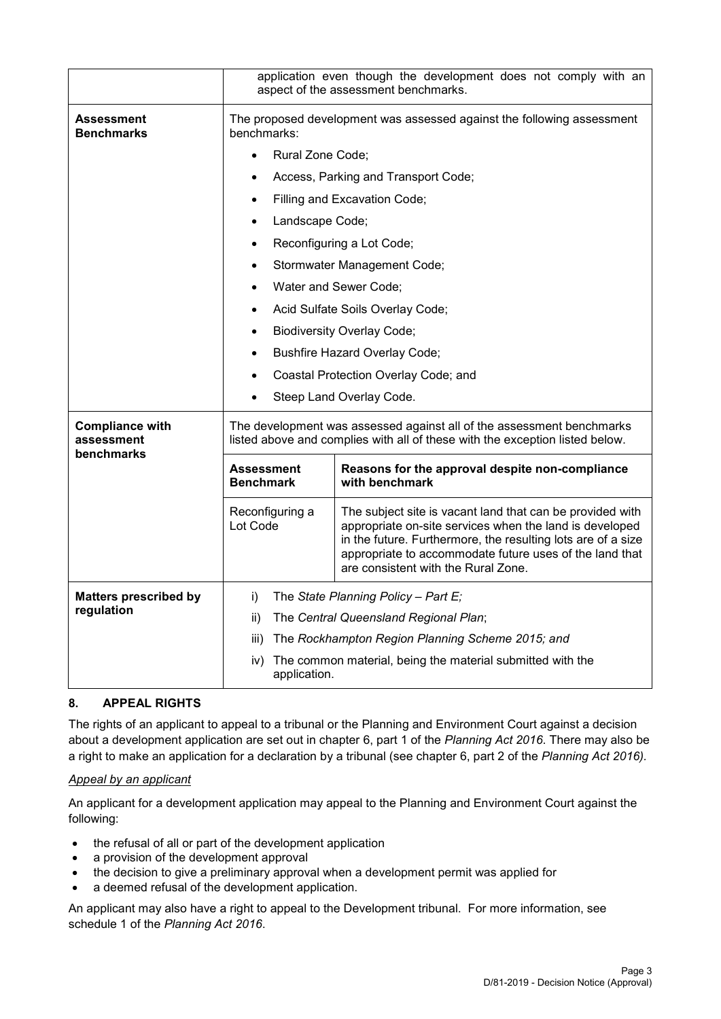|                                        | application even though the development does not comply with an<br>aspect of the assessment benchmarks. |                                                                                                                                                                                                                                                                                        |  |  |  |  |
|----------------------------------------|---------------------------------------------------------------------------------------------------------|----------------------------------------------------------------------------------------------------------------------------------------------------------------------------------------------------------------------------------------------------------------------------------------|--|--|--|--|
| <b>Assessment</b><br><b>Benchmarks</b> | benchmarks:                                                                                             | The proposed development was assessed against the following assessment                                                                                                                                                                                                                 |  |  |  |  |
|                                        | Rural Zone Code;                                                                                        |                                                                                                                                                                                                                                                                                        |  |  |  |  |
|                                        |                                                                                                         | Access, Parking and Transport Code;                                                                                                                                                                                                                                                    |  |  |  |  |
|                                        | $\bullet$                                                                                               | Filling and Excavation Code;                                                                                                                                                                                                                                                           |  |  |  |  |
|                                        | Landscape Code;                                                                                         |                                                                                                                                                                                                                                                                                        |  |  |  |  |
|                                        |                                                                                                         | Reconfiguring a Lot Code;                                                                                                                                                                                                                                                              |  |  |  |  |
|                                        |                                                                                                         | Stormwater Management Code;                                                                                                                                                                                                                                                            |  |  |  |  |
|                                        | $\bullet$                                                                                               | Water and Sewer Code;                                                                                                                                                                                                                                                                  |  |  |  |  |
|                                        |                                                                                                         | Acid Sulfate Soils Overlay Code;                                                                                                                                                                                                                                                       |  |  |  |  |
|                                        |                                                                                                         | <b>Biodiversity Overlay Code;</b>                                                                                                                                                                                                                                                      |  |  |  |  |
|                                        |                                                                                                         | <b>Bushfire Hazard Overlay Code;</b>                                                                                                                                                                                                                                                   |  |  |  |  |
|                                        |                                                                                                         | Coastal Protection Overlay Code; and                                                                                                                                                                                                                                                   |  |  |  |  |
|                                        |                                                                                                         | Steep Land Overlay Code.                                                                                                                                                                                                                                                               |  |  |  |  |
| <b>Compliance with</b><br>assessment   |                                                                                                         | The development was assessed against all of the assessment benchmarks<br>listed above and complies with all of these with the exception listed below.                                                                                                                                  |  |  |  |  |
| benchmarks                             | <b>Assessment</b><br><b>Benchmark</b>                                                                   | Reasons for the approval despite non-compliance<br>with benchmark                                                                                                                                                                                                                      |  |  |  |  |
|                                        | Reconfiguring a<br>Lot Code                                                                             | The subject site is vacant land that can be provided with<br>appropriate on-site services when the land is developed<br>in the future. Furthermore, the resulting lots are of a size<br>appropriate to accommodate future uses of the land that<br>are consistent with the Rural Zone. |  |  |  |  |
| <b>Matters prescribed by</b>           | i)                                                                                                      | The State Planning Policy - Part $E_i$                                                                                                                                                                                                                                                 |  |  |  |  |
| regulation                             | ii)                                                                                                     | The Central Queensland Regional Plan;                                                                                                                                                                                                                                                  |  |  |  |  |
|                                        | iii)                                                                                                    | The Rockhampton Region Planning Scheme 2015; and                                                                                                                                                                                                                                       |  |  |  |  |
|                                        | iv)                                                                                                     | The common material, being the material submitted with the<br>application.                                                                                                                                                                                                             |  |  |  |  |

## **8. APPEAL RIGHTS**

The rights of an applicant to appeal to a tribunal or the Planning and Environment Court against a decision about a development application are set out in chapter 6, part 1 of the *Planning Act 2016*. There may also be a right to make an application for a declaration by a tribunal (see chapter 6, part 2 of the *Planning Act 2016).*

#### *Appeal by an applicant*

An applicant for a development application may appeal to the Planning and Environment Court against the following:

- the refusal of all or part of the development application
- a provision of the development approval
- the decision to give a preliminary approval when a development permit was applied for
- a deemed refusal of the development application.

An applicant may also have a right to appeal to the Development tribunal. For more information, see schedule 1 of the *Planning Act 2016*.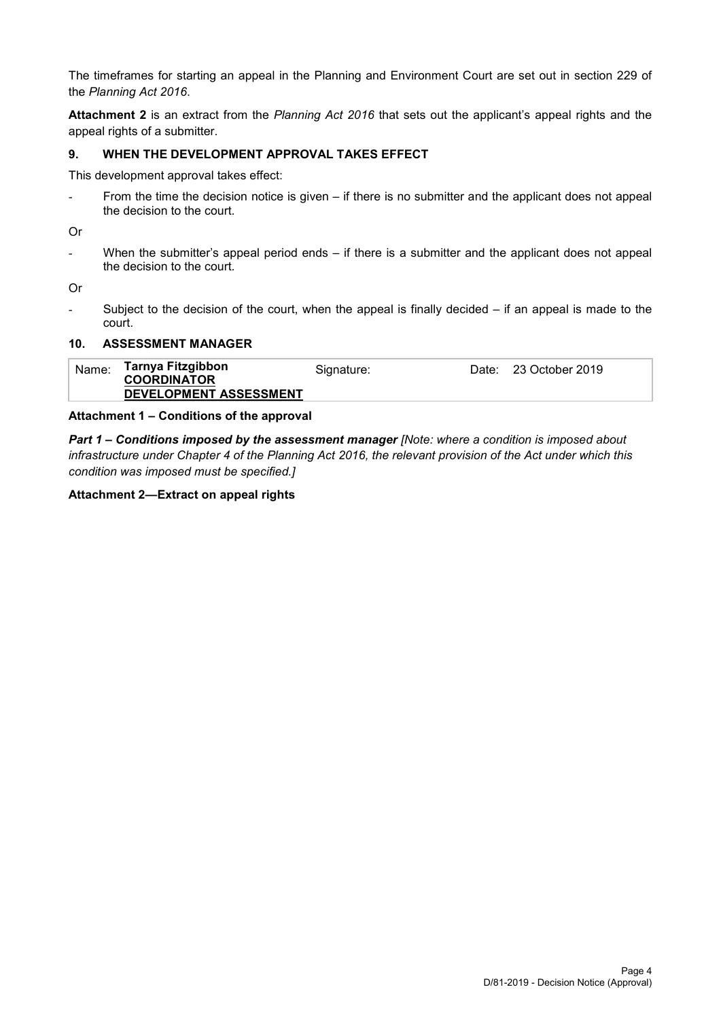The timeframes for starting an appeal in the Planning and Environment Court are set out in section 229 of the *Planning Act 2016*.

**Attachment 2** is an extract from the *Planning Act 2016* that sets out the applicant's appeal rights and the appeal rights of a submitter.

#### **9. WHEN THE DEVELOPMENT APPROVAL TAKES EFFECT**

This development approval takes effect:

- From the time the decision notice is given – if there is no submitter and the applicant does not appeal the decision to the court.

Or

- When the submitter's appeal period ends – if there is a submitter and the applicant does not appeal the decision to the court.

Or

Subject to the decision of the court, when the appeal is finally decided  $-$  if an appeal is made to the court.

#### **10. ASSESSMENT MANAGER**

| Name: | Tarnya Fitzgibbon             | Signature: | Date: 23 October 2019 |
|-------|-------------------------------|------------|-----------------------|
|       | <b>COORDINATOR</b>            |            |                       |
|       | <b>DEVELOPMENT ASSESSMENT</b> |            |                       |

#### **Attachment 1 – Conditions of the approval**

*Part 1* **–** *Conditions imposed by the assessment manager [Note: where a condition is imposed about infrastructure under Chapter 4 of the Planning Act 2016, the relevant provision of the Act under which this condition was imposed must be specified.]*

#### **Attachment 2—Extract on appeal rights**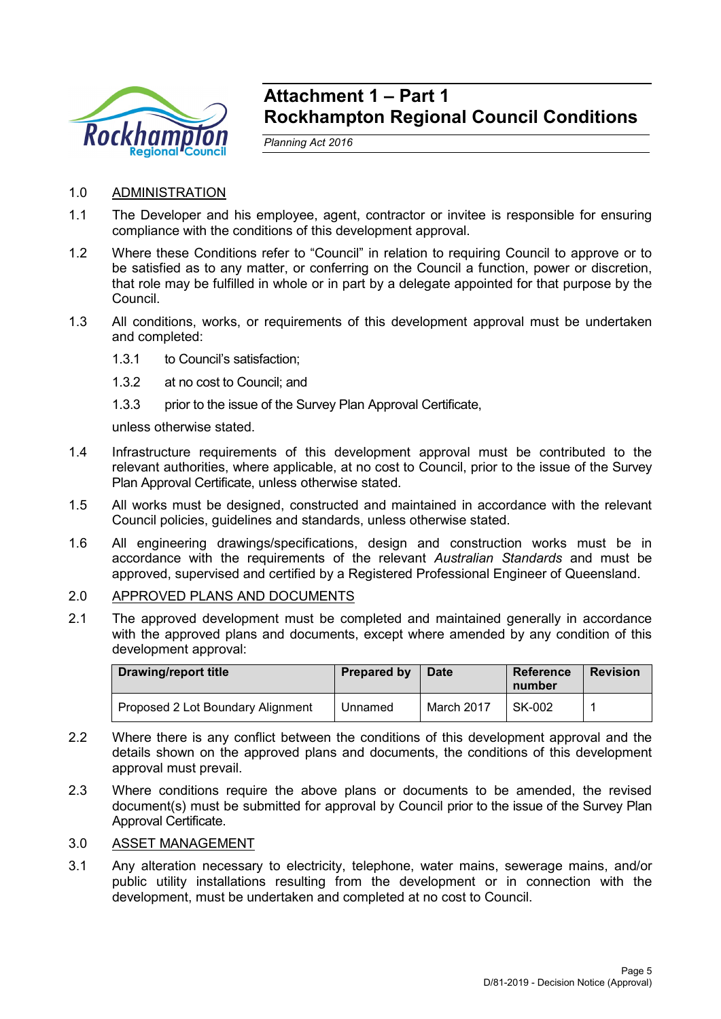

## **Attachment 1 – Part 1 Rockhampton Regional Council Conditions**

*Planning Act 2016*

- 1.0 ADMINISTRATION
- 1.1 The Developer and his employee, agent, contractor or invitee is responsible for ensuring compliance with the conditions of this development approval.
- 1.2 Where these Conditions refer to "Council" in relation to requiring Council to approve or to be satisfied as to any matter, or conferring on the Council a function, power or discretion, that role may be fulfilled in whole or in part by a delegate appointed for that purpose by the Council.
- 1.3 All conditions, works, or requirements of this development approval must be undertaken and completed:
	- 1.3.1 to Council's satisfaction;
	- 1.3.2 at no cost to Council; and
	- 1.3.3 prior to the issue of the Survey Plan Approval Certificate,

unless otherwise stated.

- 1.4 Infrastructure requirements of this development approval must be contributed to the relevant authorities, where applicable, at no cost to Council, prior to the issue of the Survey Plan Approval Certificate, unless otherwise stated.
- 1.5 All works must be designed, constructed and maintained in accordance with the relevant Council policies, guidelines and standards, unless otherwise stated.
- 1.6 All engineering drawings/specifications, design and construction works must be in accordance with the requirements of the relevant *Australian Standards* and must be approved, supervised and certified by a Registered Professional Engineer of Queensland.
- 2.0 APPROVED PLANS AND DOCUMENTS
- 2.1 The approved development must be completed and maintained generally in accordance with the approved plans and documents, except where amended by any condition of this development approval:

| <b>Drawing/report title</b>       | Prepared by | <b>Date</b> | Reference<br>number | <b>Revision</b> |
|-----------------------------------|-------------|-------------|---------------------|-----------------|
| Proposed 2 Lot Boundary Alignment | Unnamed     | March 2017  | SK-002              |                 |

- 2.2 Where there is any conflict between the conditions of this development approval and the details shown on the approved plans and documents, the conditions of this development approval must prevail.
- 2.3 Where conditions require the above plans or documents to be amended, the revised document(s) must be submitted for approval by Council prior to the issue of the Survey Plan Approval Certificate.

#### 3.0 ASSET MANAGEMENT

3.1 Any alteration necessary to electricity, telephone, water mains, sewerage mains, and/or public utility installations resulting from the development or in connection with the development, must be undertaken and completed at no cost to Council.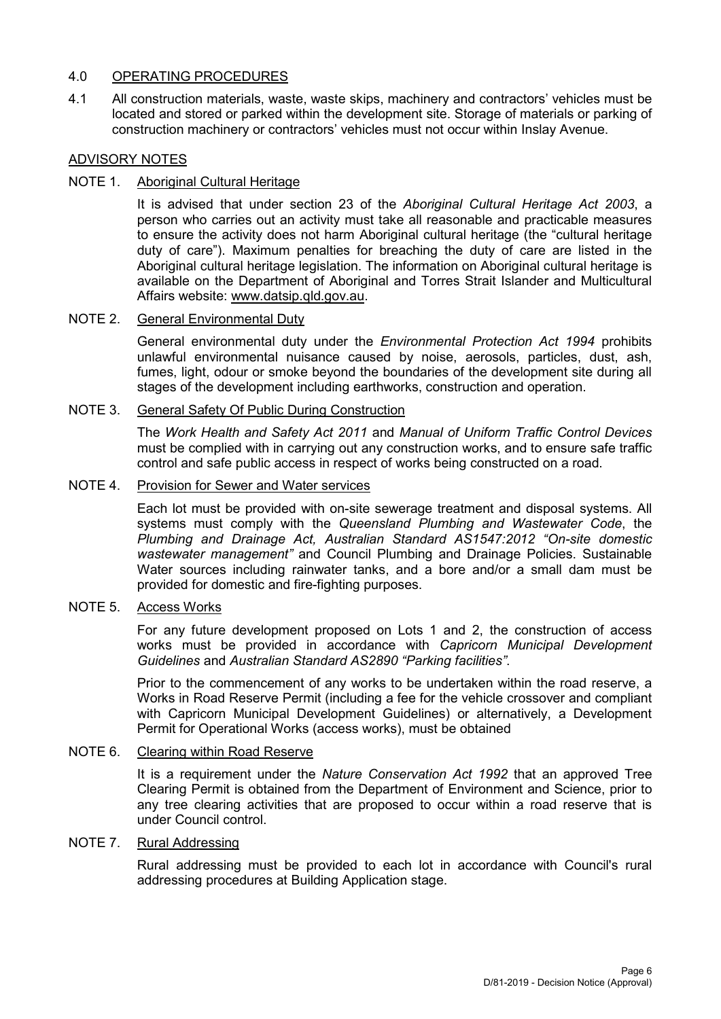## 4.0 OPERATING PROCEDURES

4.1 All construction materials, waste, waste skips, machinery and contractors' vehicles must be located and stored or parked within the development site. Storage of materials or parking of construction machinery or contractors' vehicles must not occur within Inslay Avenue.

#### ADVISORY NOTES

#### NOTE 1. Aboriginal Cultural Heritage

It is advised that under section 23 of the *Aboriginal Cultural Heritage Act 2003*, a person who carries out an activity must take all reasonable and practicable measures to ensure the activity does not harm Aboriginal cultural heritage (the "cultural heritage duty of care"). Maximum penalties for breaching the duty of care are listed in the Aboriginal cultural heritage legislation. The information on Aboriginal cultural heritage is available on the Department of Aboriginal and Torres Strait Islander and Multicultural Affairs website: [www.datsip.qld.gov.au.](http://www.datsip.qld.gov.au/)

#### NOTE 2. General Environmental Duty

General environmental duty under the *Environmental Protection Act 1994* prohibits unlawful environmental nuisance caused by noise, aerosols, particles, dust, ash, fumes, light, odour or smoke beyond the boundaries of the development site during all stages of the development including earthworks, construction and operation.

#### NOTE 3. General Safety Of Public During Construction

The *Work Health and Safety Act 2011* and *Manual of Uniform Traffic Control Devices* must be complied with in carrying out any construction works, and to ensure safe traffic control and safe public access in respect of works being constructed on a road.

#### NOTE 4. Provision for Sewer and Water services

Each lot must be provided with on-site sewerage treatment and disposal systems. All systems must comply with the *Queensland Plumbing and Wastewater Code*, the *Plumbing and Drainage Act, Australian Standard AS1547:2012 "On-site domestic wastewater management"* and Council Plumbing and Drainage Policies. Sustainable Water sources including rainwater tanks, and a bore and/or a small dam must be provided for domestic and fire-fighting purposes.

#### NOTE 5. Access Works

For any future development proposed on Lots 1 and 2, the construction of access works must be provided in accordance with *Capricorn Municipal Development Guidelines* and *Australian Standard AS2890 "Parking facilities"*.

Prior to the commencement of any works to be undertaken within the road reserve, a Works in Road Reserve Permit (including a fee for the vehicle crossover and compliant with Capricorn Municipal Development Guidelines) or alternatively, a Development Permit for Operational Works (access works), must be obtained

#### NOTE 6. Clearing within Road Reserve

It is a requirement under the *Nature Conservation Act 1992* that an approved Tree Clearing Permit is obtained from the Department of Environment and Science, prior to any tree clearing activities that are proposed to occur within a road reserve that is under Council control.

#### NOTE 7. Rural Addressing

Rural addressing must be provided to each lot in accordance with Council's rural addressing procedures at Building Application stage.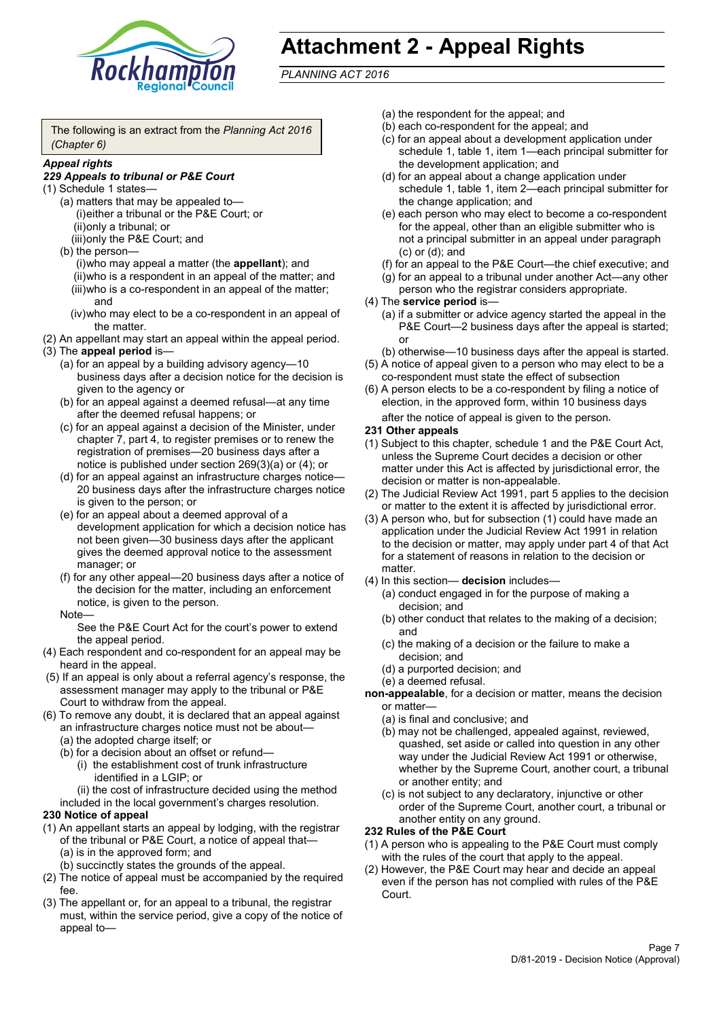

# **Attachment 2 - Appeal Rights**

*PLANNING ACT 2016*

The following is an extract from the *Planning Act 2016 (Chapter 6)*

#### *Appeal rights*

#### *229 Appeals to tribunal or P&E Court*

- (1) Schedule 1 states—
	- (a) matters that may be appealed to— (i)either a tribunal or the P&E Court; or (ii)only a tribunal; or (iii)only the P&E Court; and
	- (b) the person—

(i)who may appeal a matter (the **appellant**); and (ii)who is a respondent in an appeal of the matter; and (iii)who is a co-respondent in an appeal of the matter; and

- (iv)who may elect to be a co-respondent in an appeal of the matter.
- (2) An appellant may start an appeal within the appeal period.
- (3) The **appeal period** is—
	- (a) for an appeal by a building advisory agency—10 business days after a decision notice for the decision is given to the agency or
	- (b) for an appeal against a deemed refusal—at any time after the deemed refusal happens; or
	- (c) for an appeal against a decision of the Minister, under chapter 7, part 4, to register premises or to renew the registration of premises—20 business days after a notice is published under section 269(3)(a) or (4); or
	- (d) for an appeal against an infrastructure charges notice— 20 business days after the infrastructure charges notice is given to the person; or
	- (e) for an appeal about a deemed approval of a development application for which a decision notice has not been given—30 business days after the applicant gives the deemed approval notice to the assessment manager; or
	- (f) for any other appeal—20 business days after a notice of the decision for the matter, including an enforcement notice, is given to the person.

#### Note—

See the P&E Court Act for the court's power to extend the appeal period.

- (4) Each respondent and co-respondent for an appeal may be heard in the appeal.
- (5) If an appeal is only about a referral agency's response, the assessment manager may apply to the tribunal or P&E Court to withdraw from the appeal.
- (6) To remove any doubt, it is declared that an appeal against an infrastructure charges notice must not be about—
	- (a) the adopted charge itself; or
	- (b) for a decision about an offset or refund—
		- (i) the establishment cost of trunk infrastructure identified in a LGIP; or

(ii) the cost of infrastructure decided using the method

included in the local government's charges resolution.

#### **230 Notice of appeal**

- (1) An appellant starts an appeal by lodging, with the registrar of the tribunal or P&E Court, a notice of appeal that—
	- (a) is in the approved form; and
	- (b) succinctly states the grounds of the appeal.
- (2) The notice of appeal must be accompanied by the required fee.
- (3) The appellant or, for an appeal to a tribunal, the registrar must, within the service period, give a copy of the notice of appeal to—
- (a) the respondent for the appeal; and
- (b) each co-respondent for the appeal; and
- (c) for an appeal about a development application under schedule 1, table 1, item 1—each principal submitter for the development application; and
- (d) for an appeal about a change application under schedule 1, table 1, item 2—each principal submitter for the change application; and
- (e) each person who may elect to become a co-respondent for the appeal, other than an eligible submitter who is not a principal submitter in an appeal under paragraph (c) or (d); and
- (f) for an appeal to the P&E Court—the chief executive; and
- (g) for an appeal to a tribunal under another Act—any other person who the registrar considers appropriate.
- (4) The **service period** is—
	- (a) if a submitter or advice agency started the appeal in the P&E Court—2 business days after the appeal is started; or
	- (b) otherwise—10 business days after the appeal is started.
- (5) A notice of appeal given to a person who may elect to be a co-respondent must state the effect of subsection
- (6) A person elects to be a co-respondent by filing a notice of election, in the approved form, within 10 business days after the notice of appeal is given to the person*.*
- **231 Other appeals**
- (1) Subject to this chapter, schedule 1 and the P&E Court Act, unless the Supreme Court decides a decision or other matter under this Act is affected by jurisdictional error, the decision or matter is non-appealable.
- (2) The Judicial Review Act 1991, part 5 applies to the decision or matter to the extent it is affected by jurisdictional error.
- (3) A person who, but for subsection (1) could have made an application under the Judicial Review Act 1991 in relation to the decision or matter, may apply under part 4 of that Act for a statement of reasons in relation to the decision or matter.
- (4) In this section— **decision** includes—
	- (a) conduct engaged in for the purpose of making a decision; and
	- (b) other conduct that relates to the making of a decision; and
	- (c) the making of a decision or the failure to make a decision; and
	- (d) a purported decision; and
	- (e) a deemed refusal.

**non-appealable**, for a decision or matter, means the decision or matter—

- (a) is final and conclusive; and
- (b) may not be challenged, appealed against, reviewed, quashed, set aside or called into question in any other way under the Judicial Review Act 1991 or otherwise, whether by the Supreme Court, another court, a tribunal or another entity; and
- (c) is not subject to any declaratory, injunctive or other order of the Supreme Court, another court, a tribunal or another entity on any ground.

#### **232 Rules of the P&E Court**

- (1) A person who is appealing to the P&E Court must comply with the rules of the court that apply to the appeal.
- (2) However, the P&E Court may hear and decide an appeal even if the person has not complied with rules of the P&E Court.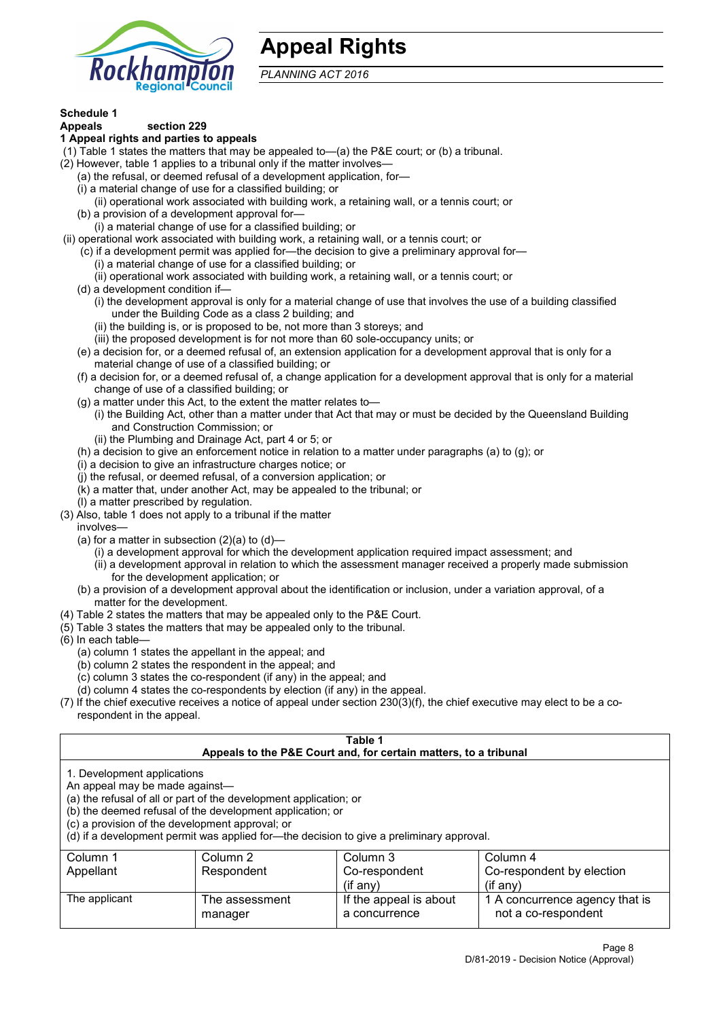

## **Appeal Rights**

*PLANNING ACT 2016*

# **Schedule 1**

#### **Appeals section 229 1 Appeal rights and parties to appeals**

- (1) Table 1 states the matters that may be appealed to—(a) the P&E court; or (b) a tribunal.
- (2) However, table 1 applies to a tribunal only if the matter involves—
	- (a) the refusal, or deemed refusal of a development application, for—
	- (i) a material change of use for a classified building; or
	- (ii) operational work associated with building work, a retaining wall, or a tennis court; or
	- (b) a provision of a development approval for—
	- (i) a material change of use for a classified building; or
- (ii) operational work associated with building work, a retaining wall, or a tennis court; or
	- (c) if a development permit was applied for—the decision to give a preliminary approval for—
		- (i) a material change of use for a classified building; or
		- (ii) operational work associated with building work, a retaining wall, or a tennis court; or
	- (d) a development condition if—
		- (i) the development approval is only for a material change of use that involves the use of a building classified under the Building Code as a class 2 building; and
		- (ii) the building is, or is proposed to be, not more than 3 storeys; and
		- (iii) the proposed development is for not more than 60 sole-occupancy units; or
	- (e) a decision for, or a deemed refusal of, an extension application for a development approval that is only for a material change of use of a classified building; or
	- (f) a decision for, or a deemed refusal of, a change application for a development approval that is only for a material change of use of a classified building; or
	- (g) a matter under this Act, to the extent the matter relates to—
		- (i) the Building Act, other than a matter under that Act that may or must be decided by the Queensland Building and Construction Commission; or
		- (ii) the Plumbing and Drainage Act, part 4 or 5; or
	- (h) a decision to give an enforcement notice in relation to a matter under paragraphs (a) to (g); or
	- (i) a decision to give an infrastructure charges notice; or
	- (j) the refusal, or deemed refusal, of a conversion application; or
	- (k) a matter that, under another Act, may be appealed to the tribunal; or
	- (l) a matter prescribed by regulation.
- (3) Also, table 1 does not apply to a tribunal if the matter

involves—

- (a) for a matter in subsection  $(2)(a)$  to  $(d)$ 
	- (i) a development approval for which the development application required impact assessment; and
	- (ii) a development approval in relation to which the assessment manager received a properly made submission for the development application; or
- (b) a provision of a development approval about the identification or inclusion, under a variation approval, of a matter for the development.
- (4) Table 2 states the matters that may be appealed only to the P&E Court.
- (5) Table 3 states the matters that may be appealed only to the tribunal.
- (6) In each table—
	- (a) column 1 states the appellant in the appeal; and
	- (b) column 2 states the respondent in the appeal; and
	- (c) column 3 states the co-respondent (if any) in the appeal; and
	- (d) column 4 states the co-respondents by election (if any) in the appeal.
- (7) If the chief executive receives a notice of appeal under section 230(3)(f), the chief executive may elect to be a corespondent in the appeal.

| Table 1<br>Appeals to the P&E Court and, for certain matters, to a tribunal                                                                               |                                                                                                                                                                                                                            |                                         |                                                       |  |  |
|-----------------------------------------------------------------------------------------------------------------------------------------------------------|----------------------------------------------------------------------------------------------------------------------------------------------------------------------------------------------------------------------------|-----------------------------------------|-------------------------------------------------------|--|--|
| 1. Development applications<br>An appeal may be made against-<br>(c) a provision of the development approval; or                                          | (a) the refusal of all or part of the development application; or<br>(b) the deemed refusal of the development application; or<br>(d) if a development permit was applied for—the decision to give a preliminary approval. |                                         |                                                       |  |  |
| Column 1<br>Column 2<br>Column 3<br>Column 4<br>Co-respondent by election<br>Respondent<br>Co-respondent<br>Appellant<br>$($ if any $)$<br>$(i$ f anv $)$ |                                                                                                                                                                                                                            |                                         |                                                       |  |  |
| The applicant                                                                                                                                             | The assessment<br>manager                                                                                                                                                                                                  | If the appeal is about<br>a concurrence | 1 A concurrence agency that is<br>not a co-respondent |  |  |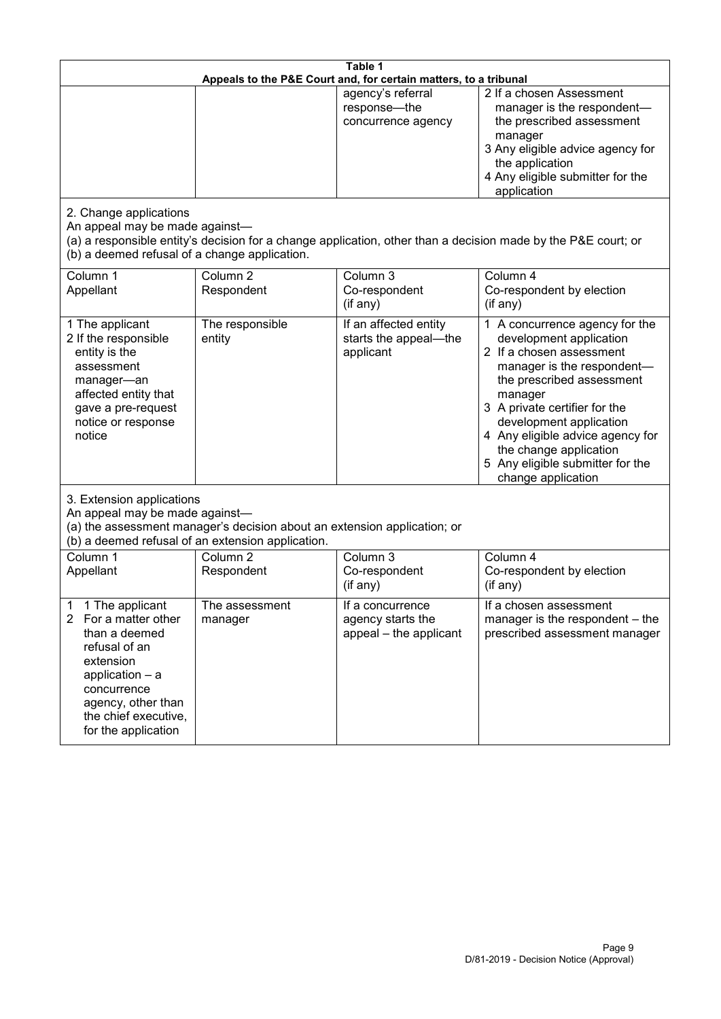| Table 1<br>Appeals to the P&E Court and, for certain matters, to a tribunal                                                                                                                           |                                   |                                                                 |                                                                                                                                                                                                                                                                                                                                                 |  |
|-------------------------------------------------------------------------------------------------------------------------------------------------------------------------------------------------------|-----------------------------------|-----------------------------------------------------------------|-------------------------------------------------------------------------------------------------------------------------------------------------------------------------------------------------------------------------------------------------------------------------------------------------------------------------------------------------|--|
|                                                                                                                                                                                                       |                                   | agency's referral<br>response-the<br>concurrence agency         | 2 If a chosen Assessment<br>manager is the respondent-<br>the prescribed assessment<br>manager<br>3 Any eligible advice agency for<br>the application<br>4 Any eligible submitter for the<br>application                                                                                                                                        |  |
| 2. Change applications<br>An appeal may be made against-<br>(b) a deemed refusal of a change application.                                                                                             |                                   |                                                                 | (a) a responsible entity's decision for a change application, other than a decision made by the P&E court; or                                                                                                                                                                                                                                   |  |
| Column 1<br>Appellant                                                                                                                                                                                 | Column <sub>2</sub><br>Respondent | Column 3<br>Co-respondent<br>(if any)                           | Column 4<br>Co-respondent by election<br>(if any)                                                                                                                                                                                                                                                                                               |  |
| 1 The applicant<br>2 If the responsible<br>entity is the<br>assessment<br>manager-an<br>affected entity that<br>gave a pre-request<br>notice or response<br>notice                                    | The responsible<br>entity         | If an affected entity<br>starts the appeal-the<br>applicant     | 1 A concurrence agency for the<br>development application<br>2 If a chosen assessment<br>manager is the respondent-<br>the prescribed assessment<br>manager<br>3 A private certifier for the<br>development application<br>4 Any eligible advice agency for<br>the change application<br>5 Any eligible submitter for the<br>change application |  |
| 3. Extension applications<br>An appeal may be made against-<br>(a) the assessment manager's decision about an extension application; or<br>(b) a deemed refusal of an extension application.          |                                   |                                                                 |                                                                                                                                                                                                                                                                                                                                                 |  |
| Column 1<br>Appellant                                                                                                                                                                                 | Column <sub>2</sub><br>Respondent | Column 3<br>Co-respondent<br>(if any)                           | Column 4<br>Co-respondent by election<br>(if any)                                                                                                                                                                                                                                                                                               |  |
| 1 The applicant<br>1<br>2<br>For a matter other<br>than a deemed<br>refusal of an<br>extension<br>application - a<br>concurrence<br>agency, other than<br>the chief executive,<br>for the application | The assessment<br>manager         | If a concurrence<br>agency starts the<br>appeal - the applicant | If a chosen assessment<br>manager is the respondent - the<br>prescribed assessment manager                                                                                                                                                                                                                                                      |  |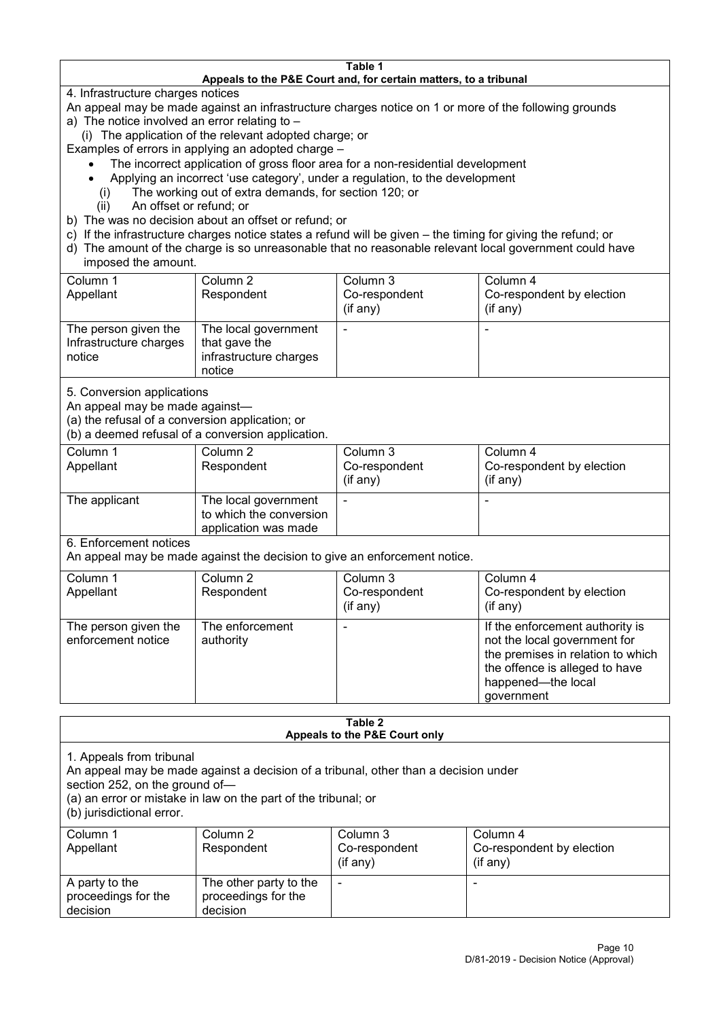#### **Table 1 Appeals to the P&E Court and, for certain matters, to a tribunal**

4. Infrastructure charges notices

- An appeal may be made against an infrastructure charges notice on 1 or more of the following grounds
- a) The notice involved an error relating to
	- (i) The application of the relevant adopted charge; or
- Examples of errors in applying an adopted charge
	- The incorrect application of gross floor area for a non-residential development
	- Applying an incorrect 'use category', under a regulation, to the development
	- (i) The working out of extra demands, for section 120; or
	- (ii) An offset or refund; or
- b) The was no decision about an offset or refund; or
- c) If the infrastructure charges notice states a refund will be given the timing for giving the refund; or
- d) The amount of the charge is so unreasonable that no reasonable relevant local government could have

## imposed the amount.

| Column 1               | Column 2               | Column 3      | Column 4                  |
|------------------------|------------------------|---------------|---------------------------|
| Appellant              | Respondent             | Co-respondent | Co-respondent by election |
|                        |                        | (if any)      | $($ if any $)$            |
| The person given the   | The local government   |               |                           |
| Infrastructure charges | that gave the          |               |                           |
| notice                 | infrastructure charges |               |                           |
|                        | notice                 |               |                           |

5. Conversion applications

An appeal may be made against—

(a) the refusal of a conversion application; or

(b) a deemed refusal of a conversion application.

| Column 1      | Column 2                | Column 3      | Column 4                  |
|---------------|-------------------------|---------------|---------------------------|
| Appellant     | Respondent              | Co-respondent | Co-respondent by election |
|               |                         | (if any)      | $($ if any $)$            |
|               |                         |               |                           |
| The applicant | The local government    |               |                           |
|               | to which the conversion |               |                           |
|               | application was made    |               |                           |

6. Enforcement notices

An appeal may be made against the decision to give an enforcement notice.

| Column 1                                   | Column 2                     | Column 3      | Column 4                                                                                                                                                                   |
|--------------------------------------------|------------------------------|---------------|----------------------------------------------------------------------------------------------------------------------------------------------------------------------------|
| Appellant                                  | Respondent                   | Co-respondent | Co-respondent by election                                                                                                                                                  |
|                                            |                              | (if any)      | $($ if any $)$                                                                                                                                                             |
| The person given the<br>enforcement notice | The enforcement<br>authority |               | If the enforcement authority is<br>not the local government for<br>the premises in relation to which<br>the offence is alleged to have<br>happened-the local<br>government |

#### **Table 2 Appeals to the P&E Court only**

1. Appeals from tribunal

An appeal may be made against a decision of a tribunal, other than a decision under

section 252, on the ground of—

(a) an error or mistake in law on the part of the tribunal; or

(b) jurisdictional error.

| Column 1<br>Appellant                             | Column 2<br>Respondent                                    | Column 3<br>Co-respondent<br>$($ if any $)$ | Column 4<br>Co-respondent by election<br>(if any) |
|---------------------------------------------------|-----------------------------------------------------------|---------------------------------------------|---------------------------------------------------|
| A party to the<br>proceedings for the<br>decision | The other party to the<br>proceedings for the<br>decision | ۰                                           |                                                   |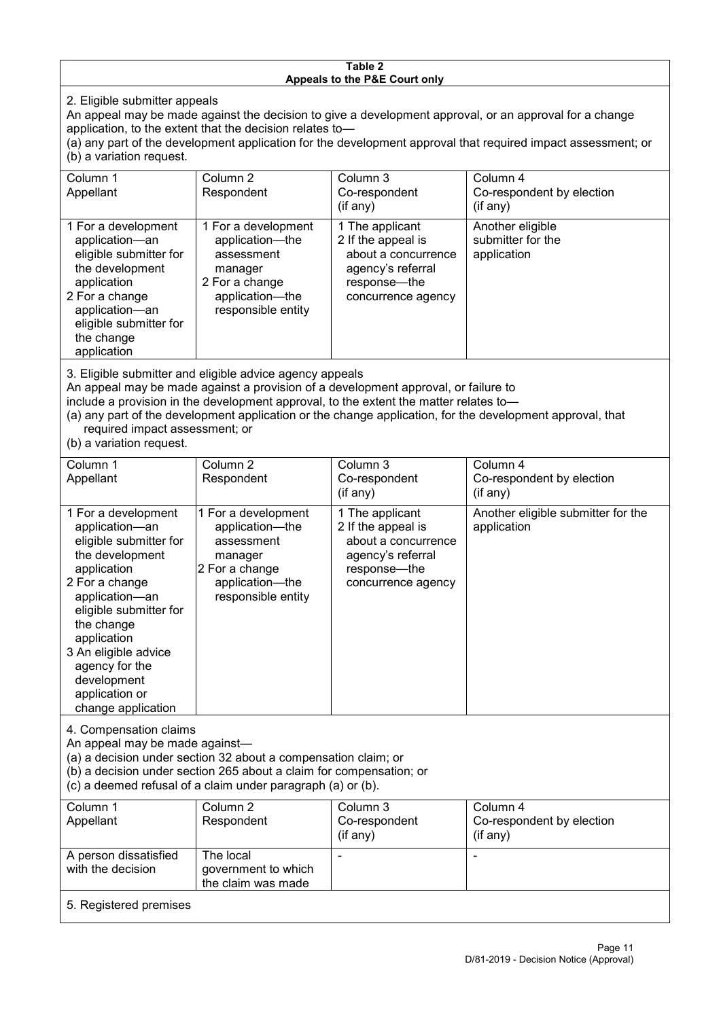#### **Table 2 Appeals to the P&E Court only**

2. Eligible submitter appeals

An appeal may be made against the decision to give a development approval, or an approval for a change application, to the extent that the decision relates to—

(a) any part of the development application for the development approval that required impact assessment; or (b) a variation request.

| Column 1<br>Appellant                                                                                                                                                                                                             | Column 2<br>Respondent                                                                                                     | Column 3<br>Co-respondent<br>(if any)                                                                                     | Column 4<br>Co-respondent by election<br>(if any)    |
|-----------------------------------------------------------------------------------------------------------------------------------------------------------------------------------------------------------------------------------|----------------------------------------------------------------------------------------------------------------------------|---------------------------------------------------------------------------------------------------------------------------|------------------------------------------------------|
| 1 For a development<br>application-an<br>eligible submitter for<br>the development<br>application<br>2 For a change<br>application-an<br>eligible submitter for<br>the change<br>application                                      | 1 For a development<br>application-the<br>assessment<br>manager<br>2 For a change<br>application-the<br>responsible entity | 1 The applicant<br>2 If the appeal is<br>about a concurrence<br>agency's referral<br>response---the<br>concurrence agency | Another eligible<br>submitter for the<br>application |
| $\mathsf{A}$ . Figure 1. The contract of the contract of the contract of the contract of the contract of the contract of the contract of the contract of the contract of the contract of the contract of the contract of the cont |                                                                                                                            |                                                                                                                           |                                                      |

3. Eligible submitter and eligible advice agency appeals

An appeal may be made against a provision of a development approval, or failure to

include a provision in the development approval, to the extent the matter relates to—

(a) any part of the development application or the change application, for the development approval, that required impact assessment; or

(b) a variation request.

| Column 1<br>Appellant                                                                                                                                                                                                                                                                         | Column <sub>2</sub><br>Respondent                                                                                          | Column 3<br>Co-respondent                                                                                               | Column 4<br>Co-respondent by election             |
|-----------------------------------------------------------------------------------------------------------------------------------------------------------------------------------------------------------------------------------------------------------------------------------------------|----------------------------------------------------------------------------------------------------------------------------|-------------------------------------------------------------------------------------------------------------------------|---------------------------------------------------|
|                                                                                                                                                                                                                                                                                               |                                                                                                                            | (if any)                                                                                                                | (if any)                                          |
| 1 For a development<br>application-an<br>eligible submitter for<br>the development<br>application<br>2 For a change<br>application-an<br>eligible submitter for<br>the change<br>application<br>3 An eligible advice<br>agency for the<br>development<br>application or<br>change application | 1 For a development<br>application-the<br>assessment<br>manager<br>2 For a change<br>application-the<br>responsible entity | 1 The applicant<br>2 If the appeal is<br>about a concurrence<br>agency's referral<br>response—the<br>concurrence agency | Another eligible submitter for the<br>application |
| 4. Compensation claims<br>An appeal may be made against-<br>(a) a decision under section 32 about a compensation claim; or<br>(b) a decision under section 265 about a claim for compensation; or<br>(c) a deemed refusal of a claim under paragraph (a) or (b).                              |                                                                                                                            |                                                                                                                         |                                                   |
| Column 1<br>Appellant                                                                                                                                                                                                                                                                         | Column 2<br>Respondent                                                                                                     | Column 3<br>Co-respondent<br>(if any)                                                                                   | Column 4<br>Co-respondent by election<br>(if any) |
| A person dissatisfied<br>with the decision                                                                                                                                                                                                                                                    | The local<br>government to which<br>the claim was made                                                                     |                                                                                                                         |                                                   |
| 5. Registered premises                                                                                                                                                                                                                                                                        |                                                                                                                            |                                                                                                                         |                                                   |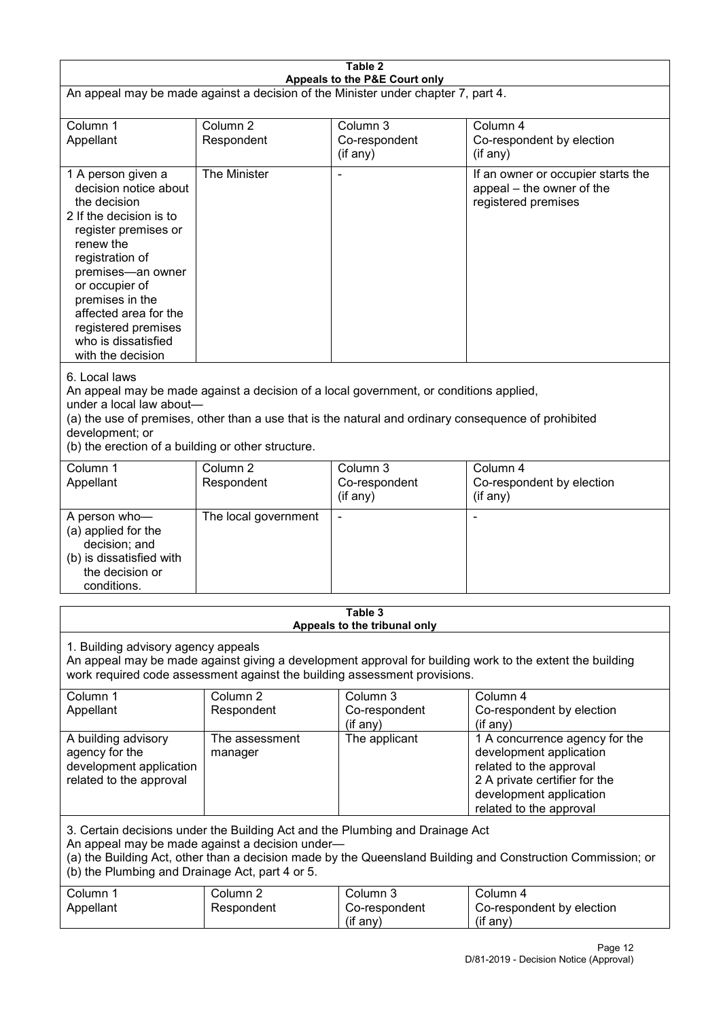| Table 2<br>Appeals to the P&E Court only                                                                                                                                                                                                                                                             |                                                                                                                                                                                                                                                                                  |                                         |                                                                                                                                                                             |  |  |
|------------------------------------------------------------------------------------------------------------------------------------------------------------------------------------------------------------------------------------------------------------------------------------------------------|----------------------------------------------------------------------------------------------------------------------------------------------------------------------------------------------------------------------------------------------------------------------------------|-----------------------------------------|-----------------------------------------------------------------------------------------------------------------------------------------------------------------------------|--|--|
| An appeal may be made against a decision of the Minister under chapter 7, part 4.                                                                                                                                                                                                                    |                                                                                                                                                                                                                                                                                  |                                         |                                                                                                                                                                             |  |  |
| Column 1<br>Appellant                                                                                                                                                                                                                                                                                | Column <sub>2</sub><br>Respondent                                                                                                                                                                                                                                                | Column 3<br>Co-respondent<br>(if any)   | Column 4<br>Co-respondent by election<br>(if any)                                                                                                                           |  |  |
| 1 A person given a<br>decision notice about<br>the decision<br>2 If the decision is to<br>register premises or<br>renew the<br>registration of<br>premises-an owner<br>or occupier of<br>premises in the<br>affected area for the<br>registered premises<br>who is dissatisfied<br>with the decision | The Minister                                                                                                                                                                                                                                                                     |                                         | If an owner or occupier starts the<br>appeal - the owner of the<br>registered premises                                                                                      |  |  |
| 6. Local laws<br>development; or                                                                                                                                                                                                                                                                     | An appeal may be made against a decision of a local government, or conditions applied,<br>under a local law about-<br>(a) the use of premises, other than a use that is the natural and ordinary consequence of prohibited<br>(b) the erection of a building or other structure. |                                         |                                                                                                                                                                             |  |  |
| Column 1<br>Appellant                                                                                                                                                                                                                                                                                | Column <sub>2</sub><br>Respondent                                                                                                                                                                                                                                                | Column 3<br>Co-respondent<br>(if any)   | Column 4<br>Co-respondent by election<br>(if any)                                                                                                                           |  |  |
| A person who-<br>(a) applied for the<br>decision; and<br>(b) is dissatisfied with<br>the decision or<br>conditions.                                                                                                                                                                                  | The local government                                                                                                                                                                                                                                                             |                                         | ٠                                                                                                                                                                           |  |  |
|                                                                                                                                                                                                                                                                                                      |                                                                                                                                                                                                                                                                                  | Table 3<br>Appeals to the tribunal only |                                                                                                                                                                             |  |  |
| 1. Building advisory agency appeals<br>An appeal may be made against giving a development approval for building work to the extent the building<br>work required code assessment against the building assessment provisions.                                                                         |                                                                                                                                                                                                                                                                                  |                                         |                                                                                                                                                                             |  |  |
| Column 1<br>Appellant                                                                                                                                                                                                                                                                                | Column <sub>2</sub><br>Respondent                                                                                                                                                                                                                                                | Column 3<br>Co-respondent<br>(if any)   | Column 4<br>Co-respondent by election<br>(if any)                                                                                                                           |  |  |
| A building advisory<br>agency for the<br>development application<br>related to the approval                                                                                                                                                                                                          | The assessment<br>manager                                                                                                                                                                                                                                                        | The applicant                           | 1 A concurrence agency for the<br>development application<br>related to the approval<br>2 A private certifier for the<br>development application<br>related to the approval |  |  |
| 3. Certain decisions under the Building Act and the Plumbing and Drainage Act<br>An appeal may be made against a decision under-<br>(a) the Building Act, other than a decision made by the Queensland Building and Construction Commission; or<br>(b) the Plumbing and Drainage Act, part 4 or 5.   |                                                                                                                                                                                                                                                                                  |                                         |                                                                                                                                                                             |  |  |
| Column 1<br>Appellant                                                                                                                                                                                                                                                                                | Column <sub>2</sub><br>Respondent                                                                                                                                                                                                                                                | Column 3<br>Co-respondent<br>(if any)   | Column 4<br>Co-respondent by election<br>(if any)                                                                                                                           |  |  |